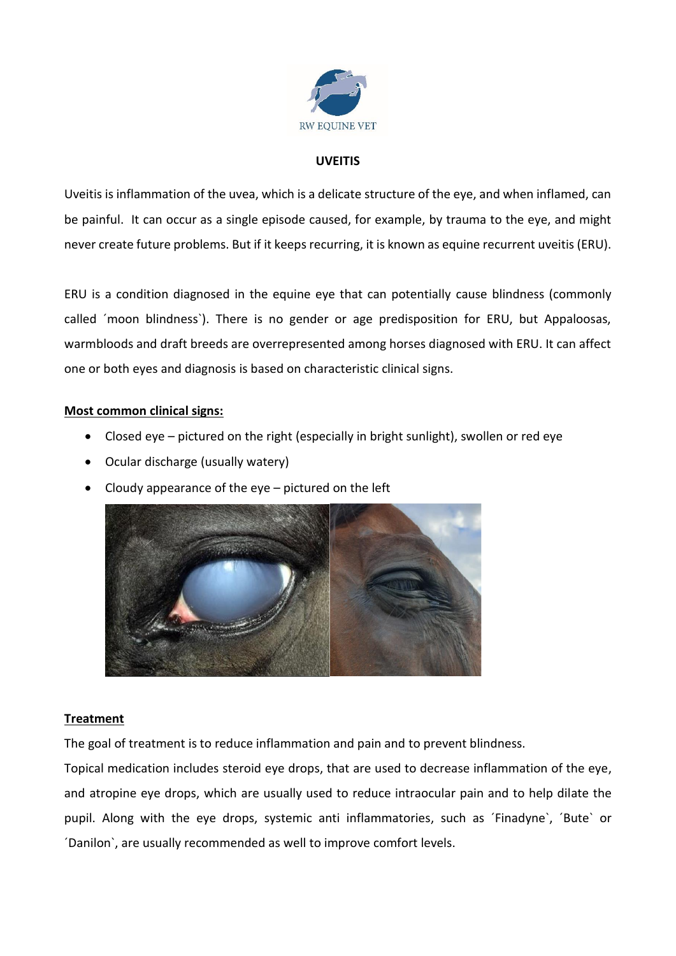

## **UVEITIS**

Uveitis is inflammation of the uvea, which is a delicate structure of the eye, and when inflamed, can be painful. It can occur as a single episode caused, for example, by trauma to the eye, and might never create future problems. But if it keeps recurring, it is known as equine recurrent uveitis (ERU).

ERU is a condition diagnosed in the equine eye that can potentially cause blindness (commonly called ´moon blindness`). There is no gender or age predisposition for ERU, but Appaloosas, warmbloods and draft breeds are overrepresented among horses diagnosed with ERU. It can affect one or both eyes and diagnosis is based on characteristic clinical signs.

## **Most common clinical signs:**

- Closed eye pictured on the right (especially in bright sunlight), swollen or red eye
- Ocular discharge (usually watery)
- Cloudy appearance of the  $eye$  pictured on the left



## **Treatment**

The goal of treatment is to reduce inflammation and pain and to prevent blindness.

Topical medication includes steroid eye drops, that are used to decrease inflammation of the eye, and atropine eye drops, which are usually used to reduce intraocular pain and to help dilate the pupil. Along with the eye drops, systemic anti inflammatories, such as ´Finadyne`, ´Bute` or ´Danilon`, are usually recommended as well to improve comfort levels.